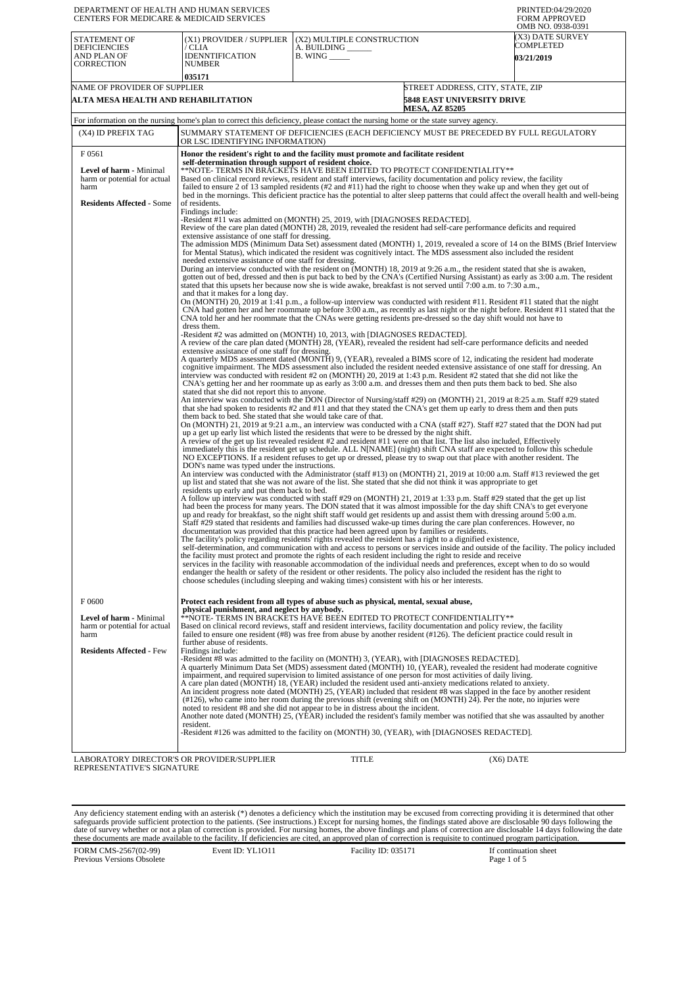| DEPARTMENT OF HEALTH AND HUMAN SERVICES<br><b>CENTERS FOR MEDICARE &amp; MEDICAID SERVICES</b> |                                                                                                                                                                                                                                                                                                                                                                                                                                                                                    |                                                                                                                                                                                                                                                                                                                                                                                                                                                                                                                                                                                                                                                                                                                                                                                                | PRINTED:04/29/2020<br><b>FORM APPROVED</b><br>OMB NO. 0938-0391                                                                            |
|------------------------------------------------------------------------------------------------|------------------------------------------------------------------------------------------------------------------------------------------------------------------------------------------------------------------------------------------------------------------------------------------------------------------------------------------------------------------------------------------------------------------------------------------------------------------------------------|------------------------------------------------------------------------------------------------------------------------------------------------------------------------------------------------------------------------------------------------------------------------------------------------------------------------------------------------------------------------------------------------------------------------------------------------------------------------------------------------------------------------------------------------------------------------------------------------------------------------------------------------------------------------------------------------------------------------------------------------------------------------------------------------|--------------------------------------------------------------------------------------------------------------------------------------------|
| STATEMENT OF<br><b>DEFICIENCIES</b><br>AND PLAN OF                                             | (X1) PROVIDER / SUPPLIER<br>/ CLIA<br><b>IDENNTIFICATION</b>                                                                                                                                                                                                                                                                                                                                                                                                                       | (X2) MULTIPLE CONSTRUCTION<br>A. BUILDING ______<br>$B.$ WING $\_\_\_\_\_\_\_\$                                                                                                                                                                                                                                                                                                                                                                                                                                                                                                                                                                                                                                                                                                                | (X3) DATE SURVEY<br>COMPLETED<br><b>03/21/2019</b>                                                                                         |
| CORRECTION                                                                                     | <b>NUMBER</b>                                                                                                                                                                                                                                                                                                                                                                                                                                                                      |                                                                                                                                                                                                                                                                                                                                                                                                                                                                                                                                                                                                                                                                                                                                                                                                |                                                                                                                                            |
| NAME OF PROVIDER OF SUPPLIER                                                                   | 035171                                                                                                                                                                                                                                                                                                                                                                                                                                                                             |                                                                                                                                                                                                                                                                                                                                                                                                                                                                                                                                                                                                                                                                                                                                                                                                | STREET ADDRESS, CITY, STATE, ZIP                                                                                                           |
| ALTA MESA HEALTH AND REHABILITATION                                                            |                                                                                                                                                                                                                                                                                                                                                                                                                                                                                    | <b>MESA, AZ 85205</b>                                                                                                                                                                                                                                                                                                                                                                                                                                                                                                                                                                                                                                                                                                                                                                          | <b>5848 EAST UNIVERSITY DRIVE</b>                                                                                                          |
|                                                                                                |                                                                                                                                                                                                                                                                                                                                                                                                                                                                                    | For information on the nursing home's plan to correct this deficiency, please contact the nursing home or the state survey agency.                                                                                                                                                                                                                                                                                                                                                                                                                                                                                                                                                                                                                                                             |                                                                                                                                            |
| (X4) ID PREFIX TAG                                                                             | OR LSC IDENTIFYING INFORMATION)                                                                                                                                                                                                                                                                                                                                                                                                                                                    | SUMMARY STATEMENT OF DEFICIENCIES (EACH DEFICIENCY MUST BE PRECEDED BY FULL REGULATORY                                                                                                                                                                                                                                                                                                                                                                                                                                                                                                                                                                                                                                                                                                         |                                                                                                                                            |
| F 0561<br>Level of harm - Minimal<br>harm or potential for actual<br>harm                      | self-determination through support of resident choice.                                                                                                                                                                                                                                                                                                                                                                                                                             | Honor the resident's right to and the facility must promote and facilitate resident<br>**NOTE- TERMS IN BRACKETS HAVE BEEN EDITED TO PROTECT CONFIDENTIALITY**<br>Based on clinical record reviews, resident and staff interviews, facility documentation and policy review, the facility<br>failed to ensure 2 of 13 sampled residents (#2 and #11) had the right to choose when they wake up and when they get out of                                                                                                                                                                                                                                                                                                                                                                        |                                                                                                                                            |
| <b>Residents Affected - Some</b>                                                               | of residents.<br>Findings include:<br>extensive assistance of one staff for dressing.                                                                                                                                                                                                                                                                                                                                                                                              | -Resident #11 was admitted on (MONTH) 25, 2019, with [DIAGNOSES REDACTED].<br>Review of the care plan dated (MONTH) 28, 2019, revealed the resident had self-care performance deficits and required                                                                                                                                                                                                                                                                                                                                                                                                                                                                                                                                                                                            | bed in the mornings. This deficient practice has the potential to alter sleep patterns that could affect the overall health and well-being |
|                                                                                                | needed extensive assistance of one staff for dressing.                                                                                                                                                                                                                                                                                                                                                                                                                             | for Mental Status), which indicated the resident was cognitively intact. The MDS assessment also included the resident<br>During an interview conducted with the resident on (MONTH) 18, 2019 at 9:26 a.m., the resident stated that she is awaken,<br>gotten out of bed, dressed and then is put back to bed by the CNA's (Certified Nursing Assistant) as early as 3:00 a.m. The resident                                                                                                                                                                                                                                                                                                                                                                                                    | The admission MDS (Minimum Data Set) assessment dated (MONTH) 1, 2019, revealed a score of 14 on the BIMS (Brief Interview                 |
|                                                                                                | and that it makes for a long day.<br>dress them.                                                                                                                                                                                                                                                                                                                                                                                                                                   | stated that this upsets her because now she is wide awake, breakfast is not served until 7:00 a.m. to 7:30 a.m.,<br>On (MONTH) 20, 2019 at 1:41 p.m., a follow-up interview was conducted with resident #11. Resident #11 stated that the night<br>CNA had gotten her and her roommate up before 3:00 a.m., as recently as last night or the night before. Resident #11 stated that the<br>CNA told her and her roommate that the CNAs were getting residents pre-dressed so the day shift would not have to                                                                                                                                                                                                                                                                                   |                                                                                                                                            |
|                                                                                                | extensive assistance of one staff for dressing.                                                                                                                                                                                                                                                                                                                                                                                                                                    | -Resident #2 was admitted on (MONTH) 10, 2013, with [DIAGNOSES REDACTED].<br>A review of the care plan dated (MONTH) 28, (YEAR), revealed the resident had self-care performance deficits and needed                                                                                                                                                                                                                                                                                                                                                                                                                                                                                                                                                                                           |                                                                                                                                            |
|                                                                                                | stated that she did not report this to anyone.                                                                                                                                                                                                                                                                                                                                                                                                                                     | A quarterly MDS assessment dated (MONTH) 9, (YEAR), revealed a BIMS score of 12, indicating the resident had moderate<br>cognitive impairment. The MDS assessment also included the resident needed extensive assistance of one staff for dressing. An<br>interview was conducted with resident #2 on (MONTH) 20, 2019 at 1:43 p.m. Resident #2 stated that she did not like the<br>CNA's getting her and her roommate up as early as 3:00 a.m. and dresses them and then puts them back to bed. She also                                                                                                                                                                                                                                                                                      |                                                                                                                                            |
|                                                                                                | An interview was conducted with the DON (Director of Nursing/staff #29) on (MONTH) 21, 2019 at 8:25 a.m. Staff #29 stated<br>that she had spoken to residents #2 and #11 and that they stated the CNA's get them up early to dress them and then puts<br>them back to bed. She stated that she would take care of that.<br>On (MONTH) 21, 2019 at 9:21 a.m., an interview was conducted with a CNA (staff #27). Staff #27 stated that the DON had put                              |                                                                                                                                                                                                                                                                                                                                                                                                                                                                                                                                                                                                                                                                                                                                                                                                |                                                                                                                                            |
|                                                                                                | up a get up early list which listed the residents that were to be dressed by the night shift.<br>A review of the get up list revealed resident #2 and resident #11 were on that list. The list also included, Effectively<br>immediately this is the resident get up schedule. ALL N[NAME] (night) shift CNA staff are expected to follow this schedule<br>NO EXCEPTIONS. If a resident refuses to get up or dressed, please try to swap out that place with another resident. The |                                                                                                                                                                                                                                                                                                                                                                                                                                                                                                                                                                                                                                                                                                                                                                                                |                                                                                                                                            |
|                                                                                                | DON's name was typed under the instructions.                                                                                                                                                                                                                                                                                                                                                                                                                                       | An interview was conducted with the Administrator (staff #13) on (MONTH) 21, 2019 at 10:00 a.m. Staff #13 reviewed the get<br>up list and stated that she was not aware of the list. She stated that she did not think it was appropriate to get                                                                                                                                                                                                                                                                                                                                                                                                                                                                                                                                               |                                                                                                                                            |
|                                                                                                | residents up early and put them back to bed.                                                                                                                                                                                                                                                                                                                                                                                                                                       | A follow up interview was conducted with staff #29 on (MONTH) 21, 2019 at 1:33 p.m. Staff #29 stated that the get up list<br>had been the process for many years. The DON stated that it was almost impossible for the day shift CNA's to get everyone<br>up and ready for breakfast, so the night shift staff would get residents up and assist them with dressing around 5:00 a.m.<br>Staff #29 stated that residents and families had discussed wake-up times during the care plan conferences. However, no                                                                                                                                                                                                                                                                                 |                                                                                                                                            |
|                                                                                                |                                                                                                                                                                                                                                                                                                                                                                                                                                                                                    | documentation was provided that this practice had been agreed upon by families or residents.<br>The facility's policy regarding residents' rights revealed the resident has a right to a dignified existence,<br>the facility must protect and promote the rights of each resident including the right to reside and receive<br>services in the facility with reasonable accommodation of the individual needs and preferences, except when to do so would<br>endanger the health or safety of the resident or other residents. The policy also included the resident has the right to<br>choose schedules (including sleeping and waking times) consistent with his or her interests.                                                                                                         | self-determination, and communication with and access to persons or services inside and outside of the facility. The policy included       |
| F0600                                                                                          | physical punishment, and neglect by anybody.                                                                                                                                                                                                                                                                                                                                                                                                                                       | Protect each resident from all types of abuse such as physical, mental, sexual abuse,                                                                                                                                                                                                                                                                                                                                                                                                                                                                                                                                                                                                                                                                                                          |                                                                                                                                            |
| Level of harm - Minimal<br>harm or potential for actual<br>harm                                | further abuse of residents.                                                                                                                                                                                                                                                                                                                                                                                                                                                        | **NOTE- TERMS IN BRACKETS HAVE BEEN EDITED TO PROTECT CONFIDENTIALITY**<br>Based on clinical record reviews, staff and resident interviews, facility documentation and policy review, the facility<br>failed to ensure one resident $(\#8)$ was free from abuse by another resident $(\#126)$ . The deficient practice could result in                                                                                                                                                                                                                                                                                                                                                                                                                                                         |                                                                                                                                            |
| <b>Residents Affected - Few</b>                                                                | Findings include:                                                                                                                                                                                                                                                                                                                                                                                                                                                                  | -Resident #8 was admitted to the facility on (MONTH) 3, (YEAR), with [DIAGNOSES REDACTED].<br>A quarterly Minimum Data Set (MDS) assessment dated (MONTH) 10, (YEAR), revealed the resident had moderate cognitive<br>impairment, and required supervision to limited assistance of one person for most activities of daily living.<br>A care plan dated (MONTH) 18, (YEAR) included the resident used anti-anxiety medications related to anxiety.<br>An incident progress note dated (MONTH) 25, (YEAR) included that resident #8 was slapped in the face by another resident<br>(#126), who came into her room during the previous shift (evening shift on (MONTH) 24). Per the note, no injuries were<br>noted to resident #8 and she did not appear to be in distress about the incident. |                                                                                                                                            |
|                                                                                                | resident.                                                                                                                                                                                                                                                                                                                                                                                                                                                                          | Another note dated (MONTH) 25, (YEAR) included the resident's family member was notified that she was assaulted by another<br>-Resident #126 was admitted to the facility on (MONTH) 30, (YEAR), with [DIAGNOSES REDACTED].                                                                                                                                                                                                                                                                                                                                                                                                                                                                                                                                                                    |                                                                                                                                            |
| LABORATORY DIRECTOR'S OR PROVIDER/SUPPLIER<br>REPRESENTATIVE'S SIGNATURE                       |                                                                                                                                                                                                                                                                                                                                                                                                                                                                                    | TITLE                                                                                                                                                                                                                                                                                                                                                                                                                                                                                                                                                                                                                                                                                                                                                                                          | $(X6)$ DATE                                                                                                                                |

Any deficiency statement ending with an asterisk (\*) denotes a deficiency which the institution may be excused from correcting providing it is determined that other safeguards provide sufficient protection to the patients.

FORM CMS-2567(02-99) Previous Versions Obsolete

Event ID: YL1O11 Facility ID: 035171 If continuation sheet<br>Page 1 of 5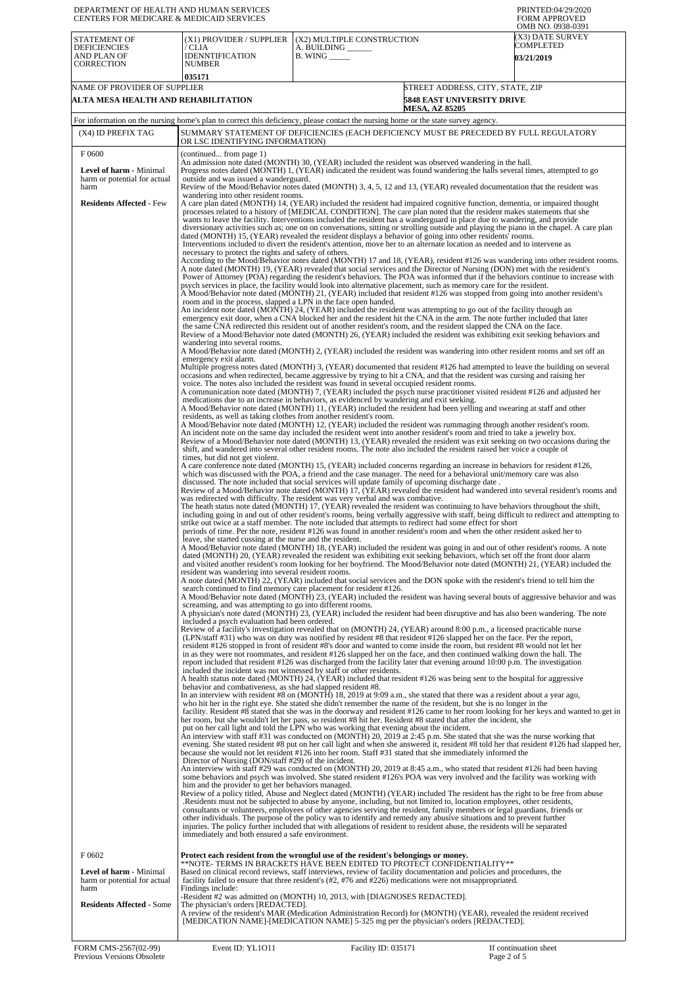| DEPARTMENT OF HEALTH AND HUMAN SERVICES<br>CENTERS FOR MEDICARE & MEDICAID SERVICES                                 |                                                                                                                                                                                                                                                                                                                                                                                                                                                                                                                                                                                                                                                                                                                                                                                                                                                                                                                                   |                                                                                                                                                                                                                                                                                                                                                                                                                                                                                                                                                                                                                                                                                                                                                                                                                                                                                                                                                                                                                                                                                                                                                                                                                                                                                                                                                                                                                                                                                                                                                                                                                                                                                                                                                                                                                                                                                                                                                                                                                                                                                                                                                                                                                                                                                                                                                                                                                                                                                                                                                                                                                                                                                                                                                                                                                                                                                                                                                                                                                                                                                                                                                                                                                                                                                                                                                                                                                                                                                                                                                                                                                                                                                                                                                                                                                                                                                                                                                                                                                                                                                                                                                                                                                                                                                                                                                                                                                                                                                                                                                                                                                                                                                                                                                                                                                                                                                                                                                                                                                                                                                                                                                                                                                                                                                                                                                                                                                                                                                                                                                                                                                                                                                                                                                                                                                                                                                                                                                                                                                                                                                                                                                                                                                                                                                                                                                                                                                                                                                                                                                                                                                                                                                                                                                                                                                                                                                                                                                                                                                                                                                                                                                                                                                                                                                                                                                                                                                                                                                                                                                                                                                                                                                                                                                                                                                                                                                                                                                                                                                                                                                                                                                                                                                                                                                                 | PRINTED:04/29/2020<br><b>FORM APPROVED</b><br>OMB NO. 0938-0391       |
|---------------------------------------------------------------------------------------------------------------------|-----------------------------------------------------------------------------------------------------------------------------------------------------------------------------------------------------------------------------------------------------------------------------------------------------------------------------------------------------------------------------------------------------------------------------------------------------------------------------------------------------------------------------------------------------------------------------------------------------------------------------------------------------------------------------------------------------------------------------------------------------------------------------------------------------------------------------------------------------------------------------------------------------------------------------------|-------------------------------------------------------------------------------------------------------------------------------------------------------------------------------------------------------------------------------------------------------------------------------------------------------------------------------------------------------------------------------------------------------------------------------------------------------------------------------------------------------------------------------------------------------------------------------------------------------------------------------------------------------------------------------------------------------------------------------------------------------------------------------------------------------------------------------------------------------------------------------------------------------------------------------------------------------------------------------------------------------------------------------------------------------------------------------------------------------------------------------------------------------------------------------------------------------------------------------------------------------------------------------------------------------------------------------------------------------------------------------------------------------------------------------------------------------------------------------------------------------------------------------------------------------------------------------------------------------------------------------------------------------------------------------------------------------------------------------------------------------------------------------------------------------------------------------------------------------------------------------------------------------------------------------------------------------------------------------------------------------------------------------------------------------------------------------------------------------------------------------------------------------------------------------------------------------------------------------------------------------------------------------------------------------------------------------------------------------------------------------------------------------------------------------------------------------------------------------------------------------------------------------------------------------------------------------------------------------------------------------------------------------------------------------------------------------------------------------------------------------------------------------------------------------------------------------------------------------------------------------------------------------------------------------------------------------------------------------------------------------------------------------------------------------------------------------------------------------------------------------------------------------------------------------------------------------------------------------------------------------------------------------------------------------------------------------------------------------------------------------------------------------------------------------------------------------------------------------------------------------------------------------------------------------------------------------------------------------------------------------------------------------------------------------------------------------------------------------------------------------------------------------------------------------------------------------------------------------------------------------------------------------------------------------------------------------------------------------------------------------------------------------------------------------------------------------------------------------------------------------------------------------------------------------------------------------------------------------------------------------------------------------------------------------------------------------------------------------------------------------------------------------------------------------------------------------------------------------------------------------------------------------------------------------------------------------------------------------------------------------------------------------------------------------------------------------------------------------------------------------------------------------------------------------------------------------------------------------------------------------------------------------------------------------------------------------------------------------------------------------------------------------------------------------------------------------------------------------------------------------------------------------------------------------------------------------------------------------------------------------------------------------------------------------------------------------------------------------------------------------------------------------------------------------------------------------------------------------------------------------------------------------------------------------------------------------------------------------------------------------------------------------------------------------------------------------------------------------------------------------------------------------------------------------------------------------------------------------------------------------------------------------------------------------------------------------------------------------------------------------------------------------------------------------------------------------------------------------------------------------------------------------------------------------------------------------------------------------------------------------------------------------------------------------------------------------------------------------------------------------------------------------------------------------------------------------------------------------------------------------------------------------------------------------------------------------------------------------------------------------------------------------------------------------------------------------------------------------------------------------------------------------------------------------------------------------------------------------------------------------------------------------------------------------------------------------------------------------------------------------------------------------------------------------------------------------------------------------------------------------------------------------------------------------------------------------------------------------------------------------------------------------------------------------------------------------------------------------------------------------------------------------------------------------------------------------------------------------------------------------------------------------------------------------------------------------------------------------------------------------------------------------------------------------------------------------------------------------------------------------------------------------------------------------------------------------------------------------------------------------------------------------------------------------------------------------------------------------------------------------------------------------------------------------------------------------------------------------------------------------------------------------------------------------------------------------------------------------------------------------------------------------------------------|-----------------------------------------------------------------------|
| STATEMENT OF<br><b>DEFICIENCIES</b><br>AND PLAN OF<br>CORRECTION                                                    | (X1) PROVIDER / SUPPLIER<br>′ CLIA<br><b>IDENNTIFICATION</b><br><b>NUMBER</b><br>035171                                                                                                                                                                                                                                                                                                                                                                                                                                                                                                                                                                                                                                                                                                                                                                                                                                           | (X2) MULTIPLE CONSTRUCTION<br>A. BUILDING _<br>$B.$ WING $\_\_\_\_\_\_\_\$                                                                                                                                                                                                                                                                                                                                                                                                                                                                                                                                                                                                                                                                                                                                                                                                                                                                                                                                                                                                                                                                                                                                                                                                                                                                                                                                                                                                                                                                                                                                                                                                                                                                                                                                                                                                                                                                                                                                                                                                                                                                                                                                                                                                                                                                                                                                                                                                                                                                                                                                                                                                                                                                                                                                                                                                                                                                                                                                                                                                                                                                                                                                                                                                                                                                                                                                                                                                                                                                                                                                                                                                                                                                                                                                                                                                                                                                                                                                                                                                                                                                                                                                                                                                                                                                                                                                                                                                                                                                                                                                                                                                                                                                                                                                                                                                                                                                                                                                                                                                                                                                                                                                                                                                                                                                                                                                                                                                                                                                                                                                                                                                                                                                                                                                                                                                                                                                                                                                                                                                                                                                                                                                                                                                                                                                                                                                                                                                                                                                                                                                                                                                                                                                                                                                                                                                                                                                                                                                                                                                                                                                                                                                                                                                                                                                                                                                                                                                                                                                                                                                                                                                                                                                                                                                                                                                                                                                                                                                                                                                                                                                                                                                                                                                                      | (X3) DATE SURVEY<br>COMPLETED<br><b>03/21/2019</b>                    |
| NAME OF PROVIDER OF SUPPLIER<br>ALTA MESA HEALTH AND REHABILITATION                                                 |                                                                                                                                                                                                                                                                                                                                                                                                                                                                                                                                                                                                                                                                                                                                                                                                                                                                                                                                   | <b>MESA, AZ 85205</b>                                                                                                                                                                                                                                                                                                                                                                                                                                                                                                                                                                                                                                                                                                                                                                                                                                                                                                                                                                                                                                                                                                                                                                                                                                                                                                                                                                                                                                                                                                                                                                                                                                                                                                                                                                                                                                                                                                                                                                                                                                                                                                                                                                                                                                                                                                                                                                                                                                                                                                                                                                                                                                                                                                                                                                                                                                                                                                                                                                                                                                                                                                                                                                                                                                                                                                                                                                                                                                                                                                                                                                                                                                                                                                                                                                                                                                                                                                                                                                                                                                                                                                                                                                                                                                                                                                                                                                                                                                                                                                                                                                                                                                                                                                                                                                                                                                                                                                                                                                                                                                                                                                                                                                                                                                                                                                                                                                                                                                                                                                                                                                                                                                                                                                                                                                                                                                                                                                                                                                                                                                                                                                                                                                                                                                                                                                                                                                                                                                                                                                                                                                                                                                                                                                                                                                                                                                                                                                                                                                                                                                                                                                                                                                                                                                                                                                                                                                                                                                                                                                                                                                                                                                                                                                                                                                                                                                                                                                                                                                                                                                                                                                                                                                                                                                                                           | STREET ADDRESS, CITY, STATE, ZIP<br><b>5848 EAST UNIVERSITY DRIVE</b> |
| (X4) ID PREFIX TAG                                                                                                  |                                                                                                                                                                                                                                                                                                                                                                                                                                                                                                                                                                                                                                                                                                                                                                                                                                                                                                                                   | For information on the nursing home's plan to correct this deficiency, please contact the nursing home or the state survey agency.<br>SUMMARY STATEMENT OF DEFICIENCIES (EACH DEFICIENCY MUST BE PRECEDED BY FULL REGULATORY                                                                                                                                                                                                                                                                                                                                                                                                                                                                                                                                                                                                                                                                                                                                                                                                                                                                                                                                                                                                                                                                                                                                                                                                                                                                                                                                                                                                                                                                                                                                                                                                                                                                                                                                                                                                                                                                                                                                                                                                                                                                                                                                                                                                                                                                                                                                                                                                                                                                                                                                                                                                                                                                                                                                                                                                                                                                                                                                                                                                                                                                                                                                                                                                                                                                                                                                                                                                                                                                                                                                                                                                                                                                                                                                                                                                                                                                                                                                                                                                                                                                                                                                                                                                                                                                                                                                                                                                                                                                                                                                                                                                                                                                                                                                                                                                                                                                                                                                                                                                                                                                                                                                                                                                                                                                                                                                                                                                                                                                                                                                                                                                                                                                                                                                                                                                                                                                                                                                                                                                                                                                                                                                                                                                                                                                                                                                                                                                                                                                                                                                                                                                                                                                                                                                                                                                                                                                                                                                                                                                                                                                                                                                                                                                                                                                                                                                                                                                                                                                                                                                                                                                                                                                                                                                                                                                                                                                                                                                                                                                                                                                    |                                                                       |
| F0600<br><b>Level of harm - Minimal</b><br>harm or potential for actual<br>harm<br><b>Residents Affected - Few</b>  | OR LSC IDENTIFYING INFORMATION)<br>(continued from page 1)<br>outside and was issued a wanderguard.<br>wandering into other resident rooms.<br>necessary to protect the rights and safety of others.<br>room and in the process, slapped a LPN in the face open handed.<br>wandering into several rooms.<br>emergency exit alarm.<br>residents, as well as taking clothes from another resident's room.<br>times, but did not get violent.<br>leave, she started cussing at the nurse and the resident.<br>resident was wandering into several resident rooms.<br>screaming, and was attempting to go into different rooms.<br>included a psych evaluation had been ordered.<br>included the incident was not witnessed by staff or other residents.<br>behavior and combativeness, as she had slapped resident #8.<br>Director of Nursing (DON/staff #29) of the incident.<br>him and the provider to get her behaviors managed. | An admission note dated (MONTH) 30, (YEAR) included the resident was observed wandering in the hall.<br>Progress notes dated (MONTH) 1, (YEAR) indicated the resident was found wandering the halls several times, attempted to go<br>Review of the Mood/Behavior notes dated (MONTH) 3, 4, 5, 12 and 13, (YEAR) revealed documentation that the resident was<br>A care plan dated (MONTH) 14, (YEAR) included the resident had impaired cognitive function, dementia, or impaired thought<br>processes related to a history of [MEDICAL CONDITION]. The care plan noted that the resident makes statements that she<br>wants to leave the facility. Interventions included the resident has a wanderguard in place due to wandering, and provide<br>diversionary activities such as; one on on conversations, sitting or strolling outside and playing the piano in the chapel. A care plan<br>dated (MONTH) 15, (YEAR) revealed the resident displays a behavior of going into other residents' rooms.<br>Interventions included to divert the resident's attention, move her to an alternate location as needed and to intervene as<br>According to the Mood/Behavior notes dated (MONTH) 17 and 18, (YEAR), resident #126 was wandering into other resident rooms.<br>A note dated (MONTH) 19, (YEAR) revealed that social services and the Director of Nursing (DON) met with the resident's<br>Power of Attorney (POA) regarding the resident's behaviors. The POA was informed that if the behaviors continue to increase with<br>psych services in place, the facility would look into alternative placement, such as memory care for the resident.<br>A Mood/Behavior note dated (MONTH) 21, (YEAR) included that resident #126 was stopped from going into another resident's<br>An incident note dated (MONTH) 24, (YEAR) included the resident was attempting to go out of the facility through an<br>emergency exit door, when a CNA blocked her and the resident hit the CNA in the arm. The note further included that later<br>the same CNA redirected this resident out of another resident's room, and the resident slapped the CNA on the face.<br>Review of a Mood/Behavior note dated (MONTH) 26, (YEAR) included the resident was exhibiting exit seeking behaviors and<br>A Mood/Behavior note dated (MONTH) 2, (YEAR) included the resident was wandering into other resident rooms and set off an<br>Multiple progress notes dated (MONTH) 3, (YEAR) documented that resident #126 had attempted to leave the building on several<br>occasions and when redirected, became aggressive by trying to hit a CNA, and that the resident was cursing and raising her<br>voice. The notes also included the resident was found in several occupied resident rooms.<br>A communication note dated (MONTH) 7, (YEAR) included the psych nurse practitioner visited resident #126 and adjusted her<br>medications due to an increase in behaviors, as evidenced by wandering and exit seeking.<br>A Mood/Behavior note dated (MONTH) 11, (YEAR) included the resident had been yelling and swearing at staff and other<br>A Mood/Behavior note dated (MONTH) 12, (YEAR) included the resident was rummaging through another resident's room.<br>An incident note on the same day included the resident went into another resident's room and tried to take a jewelry box.<br>Review of a Mood/Behavior note dated (MONTH) 13, (YEAR) revealed the resident was exit seeking on two occasions during the<br>shift, and wandered into several other resident rooms. The note also included the resident raised her voice a couple of<br>A care conference note dated (MONTH) 15, (YEAR) included concerns regarding an increase in behaviors for resident #126,<br>which was discussed with the POA, a friend and the case manager. The need for a behavioral unit/memory care was also<br>discussed. The note included that social services will update family of upcoming discharge date.<br>Review of a Mood/Behavior note dated (MONTH) 17, (YEAR) revealed the resident had wandered into several resident's rooms and<br>was redirected with difficulty. The resident was very verbal and was combative.<br>The heath status note dated (MONTH) 17, (YEAR) revealed the resident was continuing to have behaviors throughout the shift,<br>including going in and out of other resident's rooms, being verbally aggressive with staff, being difficult to redirect and attempting to<br>strike out twice at a staff member. The note included that attempts to redirect had some effect for short<br>periods of time. Per the note, resident #126 was found in another resident's room and when the other resident asked her to<br>A Mood/Behavior note dated (MONTH) 18, (YEAR) included the resident was going in and out of other resident's rooms. A note<br>dated (MONTH) 20, (YEAR) revealed the resident was exhibiting exit seeking behaviors, which set off the front door alarm<br>and visited another resident's room looking for her boyfriend. The Mood/Behavior note dated (MONTH) 21, (YEAR) included the<br>A note dated (MONTH) 22, (YEAR) included that social services and the DON spoke with the resident's friend to tell him the<br>search continued to find memory care placement for resident #126.<br>A Mood/Behavior note dated (MONTH) 23, (YEAR) included the resident was having several bouts of aggressive behavior and was<br>A physician's note dated (MONTH) 23, (YEAR) included the resident had been disruptive and has also been wandering. The note<br>Review of a facility's investigation revealed that on (MONTH) 24, (YEAR) around 8:00 p.m., a licensed practicable nurse<br>(LPN/staff #31) who was on duty was notified by resident #8 that resident #126 slapped her on the face. Per the report,<br>resident #126 stopped in front of resident #8's door and wanted to come inside the room, but resident #8 would not let her<br>in as they were not roommates, and resident #126 slapped her on the face, and then continued walking down the hall. The<br>report included that resident #126 was discharged from the facility later that evening around 10:00 p.m. The investigation<br>A health status note dated (MONTH) 24, (YEAR) included that resident #126 was being sent to the hospital for aggressive<br>In an interview with resident #8 on (MONTH) 18, 2019 at 9:09 a.m., she stated that there was a resident about a year ago,<br>who hit her in the right eye. She stated she didn't remember the name of the resident, but she is no longer in the<br>facility. Resident #8 stated that she was in the doorway and resident #126 came to her room looking for her keys and wanted to get in<br>her room, but she wouldn't let her pass, so resident #8 hit her. Resident #8 stated that after the incident, she<br>put on her call light and told the LPN who was working that evening about the incident.<br>An interview with staff #31 was conducted on (MONTH) 20, 2019 at 2:45 p.m. She stated that she was the nurse working that<br>evening. She stated resident #8 put on her call light and when she answered it, resident #8 told her that resident #126 had slapped her,<br>because she would not let resident #126 into her room. Staff #31 stated that she immediately informed the<br>An interview with staff #29 was conducted on (MONTH) 20, 2019 at 8:45 a.m., who stated that resident #126 had been having<br>some behaviors and psych was involved. She stated resident #126's POA was very involved and the facility was working with<br>Review of a policy titled, Abuse and Neglect dated (MONTH) (YEAR) included The resident has the right to be free from abuse<br>Residents must not be subjected to abuse by anyone, including, but not limited to, location employees, other residents,<br>consultants or volunteers, employees of other agencies serving the resident, family members or legal guardians, friends or<br>other individuals. The purpose of the policy was to identify and remedy any abusive situations and to prevent further<br>injuries. The policy further included that with allegations of resident to resident abuse, the residents will be separated |                                                                       |
| F0602<br><b>Level of harm - Minimal</b><br>harm or potential for actual<br>harm<br><b>Residents Affected - Some</b> | immediately and both ensured a safe environment.<br>Findings include:<br>The physician's orders [REDACTED].                                                                                                                                                                                                                                                                                                                                                                                                                                                                                                                                                                                                                                                                                                                                                                                                                       | Protect each resident from the wrongful use of the resident's belongings or money.<br>**NOTE- TERMS IN BRACKETS HAVE BEEN EDITED TO PROTECT CONFIDENTIALITY**<br>Based on clinical record reviews, staff interviews, review of facility documentation and policies and procedures, the<br>facility failed to ensure that three resident's (#2, #76 and #226) medications were not misappropriated.<br>-Resident #2 was admitted on (MONTH) 10, 2013, with [DIAGNOSES REDACTED].<br>A review of the resident's MAR (Medication Administration Record) for (MONTH) (YEAR), revealed the resident received<br>[MEDICATION NAME]-[MEDICATION NAME] 5-325 mg per the physician's orders [REDACTED].                                                                                                                                                                                                                                                                                                                                                                                                                                                                                                                                                                                                                                                                                                                                                                                                                                                                                                                                                                                                                                                                                                                                                                                                                                                                                                                                                                                                                                                                                                                                                                                                                                                                                                                                                                                                                                                                                                                                                                                                                                                                                                                                                                                                                                                                                                                                                                                                                                                                                                                                                                                                                                                                                                                                                                                                                                                                                                                                                                                                                                                                                                                                                                                                                                                                                                                                                                                                                                                                                                                                                                                                                                                                                                                                                                                                                                                                                                                                                                                                                                                                                                                                                                                                                                                                                                                                                                                                                                                                                                                                                                                                                                                                                                                                                                                                                                                                                                                                                                                                                                                                                                                                                                                                                                                                                                                                                                                                                                                                                                                                                                                                                                                                                                                                                                                                                                                                                                                                                                                                                                                                                                                                                                                                                                                                                                                                                                                                                                                                                                                                                                                                                                                                                                                                                                                                                                                                                                                                                                                                                                                                                                                                                                                                                                                                                                                                                                                                                                                                                                                                                                                                  |                                                                       |
| FORM CMS-2567(02-99)                                                                                                | Event ID: YL1011                                                                                                                                                                                                                                                                                                                                                                                                                                                                                                                                                                                                                                                                                                                                                                                                                                                                                                                  | Facility ID: 035171                                                                                                                                                                                                                                                                                                                                                                                                                                                                                                                                                                                                                                                                                                                                                                                                                                                                                                                                                                                                                                                                                                                                                                                                                                                                                                                                                                                                                                                                                                                                                                                                                                                                                                                                                                                                                                                                                                                                                                                                                                                                                                                                                                                                                                                                                                                                                                                                                                                                                                                                                                                                                                                                                                                                                                                                                                                                                                                                                                                                                                                                                                                                                                                                                                                                                                                                                                                                                                                                                                                                                                                                                                                                                                                                                                                                                                                                                                                                                                                                                                                                                                                                                                                                                                                                                                                                                                                                                                                                                                                                                                                                                                                                                                                                                                                                                                                                                                                                                                                                                                                                                                                                                                                                                                                                                                                                                                                                                                                                                                                                                                                                                                                                                                                                                                                                                                                                                                                                                                                                                                                                                                                                                                                                                                                                                                                                                                                                                                                                                                                                                                                                                                                                                                                                                                                                                                                                                                                                                                                                                                                                                                                                                                                                                                                                                                                                                                                                                                                                                                                                                                                                                                                                                                                                                                                                                                                                                                                                                                                                                                                                                                                                                                                                                                                                             | If continuation sheet                                                 |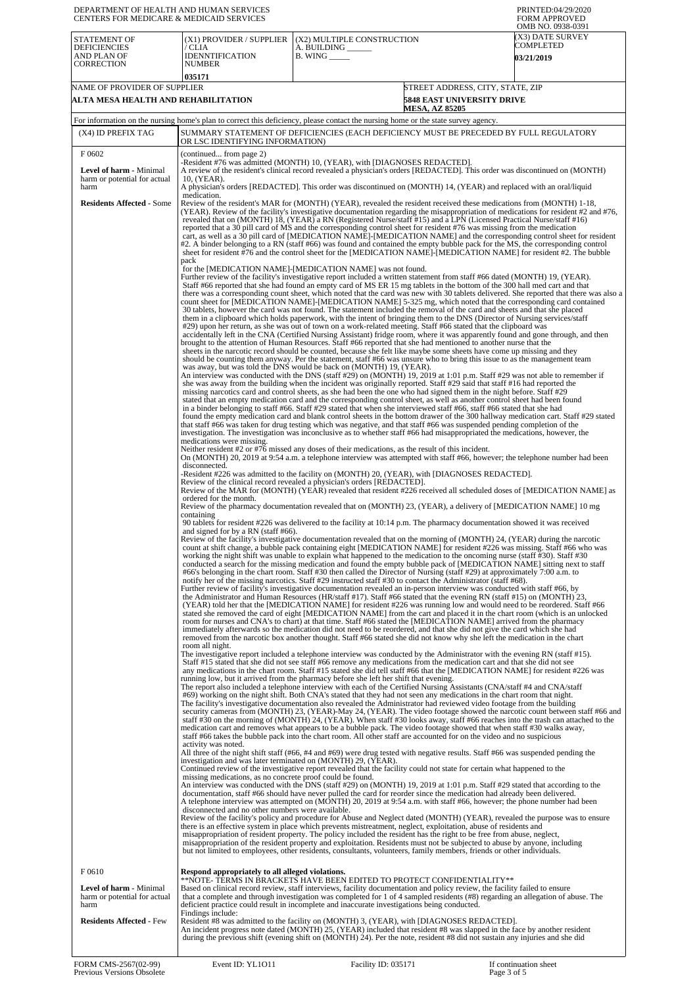| DEPARTMENT OF HEALTH AND HUMAN SERVICES<br><b>CENTERS FOR MEDICARE &amp; MEDICAID SERVICES</b> |                                                                                                                                                                                                                                                                                                                                                                                                                                                                                                                                                                                                                                                                                                                                                                                                                                                                                                                                                                                                                                                                                                                                                                                                                                                                                                                                                                                                                                                                                                                                                                                                                                                                                                                                                                                                                                                                                                                                                                                                                                                                                                                                                                                                                                                                                                                                                                                                                                                                                                                                                                                                                                                                                                                                                                                                                                                                                                                                                                                                                                                                                                                                                                                                                                                                                                                                                                                                                                                                                                                                                                                                                                                                                                                                                                                                                                                                                                                                                                                                                                                                                                                                                                                                                                                                                                                                                                                                                                                                                                                                                                                                                                                                                                                                                                                                                                                                                                                                                                                                                                                                                                                                                                                                                                                                                                                                                                                                                                                                                                                                                                                                                                                                                                                                                                                                                                                                                                                                                                                                                                                                                                                                                                                                                                                                                                                                                                                                                                                                                                                                                                                                                                                                                                                                                                                                                                                                                                                                                                                                                                                                                                                                                                                                                                                                                                                                                                                                                                                                                                                                                                                                                                                                                                                                                                                                                                                                                                                                                                                                                                                                                                                                                                                                                                                                                                                                                                                                                                                                                                                                                                                                                                                                                                                                                                                                                                                                         |                                                                                                                                                                                                                                                                                                                                                                                                                                          | PRINTED:04/29/2020<br><b>FORM APPROVED</b><br>OMB NO. 0938-0391 |
|------------------------------------------------------------------------------------------------|-------------------------------------------------------------------------------------------------------------------------------------------------------------------------------------------------------------------------------------------------------------------------------------------------------------------------------------------------------------------------------------------------------------------------------------------------------------------------------------------------------------------------------------------------------------------------------------------------------------------------------------------------------------------------------------------------------------------------------------------------------------------------------------------------------------------------------------------------------------------------------------------------------------------------------------------------------------------------------------------------------------------------------------------------------------------------------------------------------------------------------------------------------------------------------------------------------------------------------------------------------------------------------------------------------------------------------------------------------------------------------------------------------------------------------------------------------------------------------------------------------------------------------------------------------------------------------------------------------------------------------------------------------------------------------------------------------------------------------------------------------------------------------------------------------------------------------------------------------------------------------------------------------------------------------------------------------------------------------------------------------------------------------------------------------------------------------------------------------------------------------------------------------------------------------------------------------------------------------------------------------------------------------------------------------------------------------------------------------------------------------------------------------------------------------------------------------------------------------------------------------------------------------------------------------------------------------------------------------------------------------------------------------------------------------------------------------------------------------------------------------------------------------------------------------------------------------------------------------------------------------------------------------------------------------------------------------------------------------------------------------------------------------------------------------------------------------------------------------------------------------------------------------------------------------------------------------------------------------------------------------------------------------------------------------------------------------------------------------------------------------------------------------------------------------------------------------------------------------------------------------------------------------------------------------------------------------------------------------------------------------------------------------------------------------------------------------------------------------------------------------------------------------------------------------------------------------------------------------------------------------------------------------------------------------------------------------------------------------------------------------------------------------------------------------------------------------------------------------------------------------------------------------------------------------------------------------------------------------------------------------------------------------------------------------------------------------------------------------------------------------------------------------------------------------------------------------------------------------------------------------------------------------------------------------------------------------------------------------------------------------------------------------------------------------------------------------------------------------------------------------------------------------------------------------------------------------------------------------------------------------------------------------------------------------------------------------------------------------------------------------------------------------------------------------------------------------------------------------------------------------------------------------------------------------------------------------------------------------------------------------------------------------------------------------------------------------------------------------------------------------------------------------------------------------------------------------------------------------------------------------------------------------------------------------------------------------------------------------------------------------------------------------------------------------------------------------------------------------------------------------------------------------------------------------------------------------------------------------------------------------------------------------------------------------------------------------------------------------------------------------------------------------------------------------------------------------------------------------------------------------------------------------------------------------------------------------------------------------------------------------------------------------------------------------------------------------------------------------------------------------------------------------------------------------------------------------------------------------------------------------------------------------------------------------------------------------------------------------------------------------------------------------------------------------------------------------------------------------------------------------------------------------------------------------------------------------------------------------------------------------------------------------------------------------------------------------------------------------------------------------------------------------------------------------------------------------------------------------------------------------------------------------------------------------------------------------------------------------------------------------------------------------------------------------------------------------------------------------------------------------------------------------------------------------------------------------------------------------------------------------------------------------------------------------------------------------------------------------------------------------------------------------------------------------------------------------------------------------------------------------------------------------------------------------------------------------------------------------------------------------------------------------------------------------------------------------------------------------------------------------------------------------------------------------------------------------------------------------------------------------------------------------------------------------------------------------------------------------------------------------------------------------------------------------------------------------------------------------------------------------------------------------------------------------------------------------------------------------------------------------------------------------------------------------------------------------------------------------------------------------------------------------------------------------------------------------------------------------------------------------------------------------------------------------------------------------------------------------------------------|------------------------------------------------------------------------------------------------------------------------------------------------------------------------------------------------------------------------------------------------------------------------------------------------------------------------------------------------------------------------------------------------------------------------------------------|-----------------------------------------------------------------|
| STATEMENT OF<br><b>DEFICIENCIES</b><br>AND PLAN OF<br><b>CORRECTION</b>                        | (X1) PROVIDER / SUPPLIER<br>/ CLIA<br><b>IDENNTIFICATION</b><br><b>NUMBER</b><br>035171                                                                                                                                                                                                                                                                                                                                                                                                                                                                                                                                                                                                                                                                                                                                                                                                                                                                                                                                                                                                                                                                                                                                                                                                                                                                                                                                                                                                                                                                                                                                                                                                                                                                                                                                                                                                                                                                                                                                                                                                                                                                                                                                                                                                                                                                                                                                                                                                                                                                                                                                                                                                                                                                                                                                                                                                                                                                                                                                                                                                                                                                                                                                                                                                                                                                                                                                                                                                                                                                                                                                                                                                                                                                                                                                                                                                                                                                                                                                                                                                                                                                                                                                                                                                                                                                                                                                                                                                                                                                                                                                                                                                                                                                                                                                                                                                                                                                                                                                                                                                                                                                                                                                                                                                                                                                                                                                                                                                                                                                                                                                                                                                                                                                                                                                                                                                                                                                                                                                                                                                                                                                                                                                                                                                                                                                                                                                                                                                                                                                                                                                                                                                                                                                                                                                                                                                                                                                                                                                                                                                                                                                                                                                                                                                                                                                                                                                                                                                                                                                                                                                                                                                                                                                                                                                                                                                                                                                                                                                                                                                                                                                                                                                                                                                                                                                                                                                                                                                                                                                                                                                                                                                                                                                                                                                                                                 | (X2) MULTIPLE CONSTRUCTION<br>A. BUILDING __<br>$B.$ WING $\_\_\_\_\_\_\$                                                                                                                                                                                                                                                                                                                                                                | (X3) DATE SURVEY<br>COMPLETED<br><b>03/21/2019</b>              |
| NAME OF PROVIDER OF SUPPLIER<br>ALTA MESA HEALTH AND REHABILITATION                            |                                                                                                                                                                                                                                                                                                                                                                                                                                                                                                                                                                                                                                                                                                                                                                                                                                                                                                                                                                                                                                                                                                                                                                                                                                                                                                                                                                                                                                                                                                                                                                                                                                                                                                                                                                                                                                                                                                                                                                                                                                                                                                                                                                                                                                                                                                                                                                                                                                                                                                                                                                                                                                                                                                                                                                                                                                                                                                                                                                                                                                                                                                                                                                                                                                                                                                                                                                                                                                                                                                                                                                                                                                                                                                                                                                                                                                                                                                                                                                                                                                                                                                                                                                                                                                                                                                                                                                                                                                                                                                                                                                                                                                                                                                                                                                                                                                                                                                                                                                                                                                                                                                                                                                                                                                                                                                                                                                                                                                                                                                                                                                                                                                                                                                                                                                                                                                                                                                                                                                                                                                                                                                                                                                                                                                                                                                                                                                                                                                                                                                                                                                                                                                                                                                                                                                                                                                                                                                                                                                                                                                                                                                                                                                                                                                                                                                                                                                                                                                                                                                                                                                                                                                                                                                                                                                                                                                                                                                                                                                                                                                                                                                                                                                                                                                                                                                                                                                                                                                                                                                                                                                                                                                                                                                                                                                                                                                                                         | STREET ADDRESS, CITY, STATE, ZIP<br><b>5848 EAST UNIVERSITY DRIVE</b><br><b>MESA, AZ 85205</b>                                                                                                                                                                                                                                                                                                                                           |                                                                 |
| (X4) ID PREFIX TAG                                                                             | OR LSC IDENTIFYING INFORMATION)                                                                                                                                                                                                                                                                                                                                                                                                                                                                                                                                                                                                                                                                                                                                                                                                                                                                                                                                                                                                                                                                                                                                                                                                                                                                                                                                                                                                                                                                                                                                                                                                                                                                                                                                                                                                                                                                                                                                                                                                                                                                                                                                                                                                                                                                                                                                                                                                                                                                                                                                                                                                                                                                                                                                                                                                                                                                                                                                                                                                                                                                                                                                                                                                                                                                                                                                                                                                                                                                                                                                                                                                                                                                                                                                                                                                                                                                                                                                                                                                                                                                                                                                                                                                                                                                                                                                                                                                                                                                                                                                                                                                                                                                                                                                                                                                                                                                                                                                                                                                                                                                                                                                                                                                                                                                                                                                                                                                                                                                                                                                                                                                                                                                                                                                                                                                                                                                                                                                                                                                                                                                                                                                                                                                                                                                                                                                                                                                                                                                                                                                                                                                                                                                                                                                                                                                                                                                                                                                                                                                                                                                                                                                                                                                                                                                                                                                                                                                                                                                                                                                                                                                                                                                                                                                                                                                                                                                                                                                                                                                                                                                                                                                                                                                                                                                                                                                                                                                                                                                                                                                                                                                                                                                                                                                                                                                                                         | For information on the nursing home's plan to correct this deficiency, please contact the nursing home or the state survey agency.<br>SUMMARY STATEMENT OF DEFICIENCIES (EACH DEFICIENCY MUST BE PRECEDED BY FULL REGULATORY                                                                                                                                                                                                             |                                                                 |
| F0602                                                                                          | (continued from page 2)                                                                                                                                                                                                                                                                                                                                                                                                                                                                                                                                                                                                                                                                                                                                                                                                                                                                                                                                                                                                                                                                                                                                                                                                                                                                                                                                                                                                                                                                                                                                                                                                                                                                                                                                                                                                                                                                                                                                                                                                                                                                                                                                                                                                                                                                                                                                                                                                                                                                                                                                                                                                                                                                                                                                                                                                                                                                                                                                                                                                                                                                                                                                                                                                                                                                                                                                                                                                                                                                                                                                                                                                                                                                                                                                                                                                                                                                                                                                                                                                                                                                                                                                                                                                                                                                                                                                                                                                                                                                                                                                                                                                                                                                                                                                                                                                                                                                                                                                                                                                                                                                                                                                                                                                                                                                                                                                                                                                                                                                                                                                                                                                                                                                                                                                                                                                                                                                                                                                                                                                                                                                                                                                                                                                                                                                                                                                                                                                                                                                                                                                                                                                                                                                                                                                                                                                                                                                                                                                                                                                                                                                                                                                                                                                                                                                                                                                                                                                                                                                                                                                                                                                                                                                                                                                                                                                                                                                                                                                                                                                                                                                                                                                                                                                                                                                                                                                                                                                                                                                                                                                                                                                                                                                                                                                                                                                                                                 |                                                                                                                                                                                                                                                                                                                                                                                                                                          |                                                                 |
| <b>Level of harm - Minimal</b><br>harm or potential for actual<br>harm                         | 10, (YEAR).                                                                                                                                                                                                                                                                                                                                                                                                                                                                                                                                                                                                                                                                                                                                                                                                                                                                                                                                                                                                                                                                                                                                                                                                                                                                                                                                                                                                                                                                                                                                                                                                                                                                                                                                                                                                                                                                                                                                                                                                                                                                                                                                                                                                                                                                                                                                                                                                                                                                                                                                                                                                                                                                                                                                                                                                                                                                                                                                                                                                                                                                                                                                                                                                                                                                                                                                                                                                                                                                                                                                                                                                                                                                                                                                                                                                                                                                                                                                                                                                                                                                                                                                                                                                                                                                                                                                                                                                                                                                                                                                                                                                                                                                                                                                                                                                                                                                                                                                                                                                                                                                                                                                                                                                                                                                                                                                                                                                                                                                                                                                                                                                                                                                                                                                                                                                                                                                                                                                                                                                                                                                                                                                                                                                                                                                                                                                                                                                                                                                                                                                                                                                                                                                                                                                                                                                                                                                                                                                                                                                                                                                                                                                                                                                                                                                                                                                                                                                                                                                                                                                                                                                                                                                                                                                                                                                                                                                                                                                                                                                                                                                                                                                                                                                                                                                                                                                                                                                                                                                                                                                                                                                                                                                                                                                                                                                                                                             |                                                                                                                                                                                                                                                                                                                                                                                                                                          |                                                                 |
| <b>Residents Affected - Some</b>                                                               | -Resident #76 was admitted (MONTH) 10, (YEAR), with [DIAGNOSES REDACTED].<br>A review of the resident's clinical record revealed a physician's orders [REDACTED]. This order was discontinued on (MONTH)<br>A physician's orders [REDACTED]. This order was discontinued on (MONTH) 14, (YEAR) and replaced with an oral/liquid<br>medication.<br>Review of the resident's MAR for (MONTH) (YEAR), revealed the resident received these medications from (MONTH) 1-18,<br>(YEAR). Review of the facility's investigative documentation regarding the misappropriation of medications for resident #2 and #76,<br>revealed that on (MONTH) 18, (YEAR) a RN (Registered Nurse/staff #15) and a LPN (Licensed Practical Nurse/staff #16)<br>reported that a 30 pill card of MS and the corresponding control sheet for resident #76 was missing from the medication<br>cart, as well as a 30 pill card of [MEDICATION NAME]-[MEDICATION NAME] and the corresponding control sheet for resident<br>#2. A binder belonging to a RN (staff #66) was found and contained the empty bubble pack for the MS, the corresponding control<br>sheet for resident #76 and the control sheet for the [MEDICATION NAME]-[MEDICATION NAME] for resident #2. The bubble<br>pack<br>for the [MEDICATION NAME]-[MEDICATION NAME] was not found.<br>Further review of the facility's investigative report included a written statement from staff #66 dated (MONTH) 19, (YEAR).<br>Staff #66 reported that she had found an empty card of MS ER 15 mg tablets in the bottom of the 300 hall med cart and that<br>there was a corresponding count sheet, which noted that the card was new with 30 tablets delivered. She reported that there was also a<br>count sheet for [MEDICATION NAME]-[MEDICATION NAME] 5-325 mg, which noted that the corresponding card contained<br>30 tablets, however the card was not found. The statement included the removal of the card and sheets and that she placed<br>them in a clipboard which holds paperwork, with the intent of bringing them to the DNS (Director of Nursing services/staff<br>#29) upon her return, as she was out of town on a work-related meeting. Staff #66 stated that the clipboard was<br>accidentally left in the CNA (Certified Nursing Assistant) fridge room, where it was apparently found and gone through, and then<br>brought to the attention of Human Resources. Staff #66 reported that she had mentioned to another nurse that the<br>sheets in the narcotic record should be counted, because she felt like maybe some sheets have come up missing and they<br>should be counting them anyway. Per the statement, staff #66 was unsure who to bring this issue to as the management team<br>was away, but was told the DNS would be back on (MONTH) 19, (YEAR).<br>An interview was conducted with the DNS (staff #29) on (MONTH) 19, 2019 at 1:01 p.m. Staff #29 was not able to remember if<br>she was away from the building when the incident was originally reported. Staff #29 said that staff #16 had reported the<br>missing narcotics card and control sheets, as she had been the one who had signed them in the night before. Staff #29<br>stated that an empty medication card and the corresponding control sheet, as well as another control sheet had been found<br>in a binder belonging to staff #66. Staff #29 stated that when she interviewed staff #66, staff #66 stated that she had<br>found the empty medication card and blank control sheets in the bottom drawer of the 300 hallway medication cart. Staff #29 stated<br>that staff #66 was taken for drug testing which was negative, and that staff #66 was suspended pending completion of the<br>investigation. The investigation was inconclusive as to whether staff #66 had misappropriated the medications, however, the<br>medications were missing.<br>Neither resident #2 or #76 missed any doses of their medications, as the result of this incident.<br>On (MONTH) 20, 2019 at 9:54 a.m. a telephone interview was attempted with staff #66, however; the telephone number had been<br>disconnected.<br>-Resident #226 was admitted to the facility on (MONTH) 20, (YEAR), with [DIAGNOSES REDACTED].<br>Review of the clinical record revealed a physician's orders [REDACTED].<br>Review of the MAR for (MONTH) (YEAR) revealed that resident #226 received all scheduled doses of [MEDICATION NAME] as<br>ordered for the month.<br>Review of the pharmacy documentation revealed that on (MONTH) 23, (YEAR), a delivery of [MEDICATION NAME] 10 mg<br>containing<br>90 tablets for resident #226 was delivered to the facility at 10:14 p.m. The pharmacy documentation showed it was received<br>and signed for by a RN (staff #66).<br>Review of the facility's investigative documentation revealed that on the morning of (MONTH) 24, (YEAR) during the narcotic<br>count at shift change, a bubble pack containing eight [MEDICATION NAME] for resident #226 was missing. Staff #66 who was<br>working the night shift was unable to explain what happened to the medication to the oncoming nurse (staff #30). Staff #30<br>conducted a search for the missing medication and found the empty bubble pack of [MEDICATION NAME] sitting next to staff<br>#66's belonging in the chart room. Staff #30 then called the Director of Nursing (staff #29) at approximately 7:00 a.m. to<br>notify her of the missing narcotics. Staff #29 instructed staff #30 to contact the Administrator (staff #68).<br>Further review of facility's investigative documentation revealed an in-person interview was conducted with staff #66, by<br>the Administrator and Human Resources (HR/staff #17). Staff #66 stated that the evening RN (staff #15) on (MONTH) 23,<br>(YEAR) told her that the [MEDICATION NAME] for resident #226 was running low and would need to be reordered. Staff #66<br>stated she removed the card of eight [MEDICATION NAME] from the cart and placed it in the chart room (which is an unlocked<br>room for nurses and CNA's to chart) at that time. Staff #66 stated the [MEDICATION NAME] arrived from the pharmacy<br>immediately afterwards so the medication did not need to be reordered, and that she did not give the card which she had<br>removed from the narcotic box another thought. Staff #66 stated she did not know why she left the medication in the chart<br>room all night.<br>The investigative report included a telephone interview was conducted by the Administrator with the evening RN (staff #15).<br>Staff #15 stated that she did not see staff #66 remove any medications from the medication cart and that she did not see<br>any medications in the chart room. Staff #15 stated she did tell staff #66 that the [MEDICATION NAME] for resident #226 was<br>running low, but it arrived from the pharmacy before she left her shift that evening.<br>The report also included a telephone interview with each of the Certified Nursing Assistants (CNA/staff #4 and CNA/staff<br>#69) working on the night shift. Both CNA's stated that they had not seen any medications in the chart room that night.<br>The facility's investigative documentation also revealed the Administrator had reviewed video footage from the building<br>security cameras from (MONTH) 23, (YEAR)-May 24, (YEAR). The video footage showed the narcotic count between staff #66 and<br>staff #30 on the morning of (MONTH) 24, (YEAR). When staff #30 looks away, staff #66 reaches into the trash can attached to the<br>medication cart and removes what appears to be a bubble pack. The video footage showed that when staff #30 walks away,<br>staff #66 takes the bubble pack into the chart room. All other staff are accounted for on the video and no suspicious<br>activity was noted.<br>All three of the night shift staff (#66, #4 and #69) were drug tested with negative results. Staff #66 was suspended pending the<br>investigation and was later terminated on (MONTH) 29, (YEAR).<br>Continued review of the investigative report revealed that the facility could not state for certain what happened to the<br>missing medications, as no concrete proof could be found.<br>An interview was conducted with the DNS (staff #29) on (MONTH) 19, 2019 at 1:01 p.m. Staff #29 stated that according to the<br>documentation, staff #66 should have never pulled the card for reorder since the medication had already been delivered.<br>A telephone interview was attempted on (MONTH) 20, 2019 at 9:54 a.m. with staff #66, however; the phone number had been<br>disconnected and no other numbers were available.<br>Review of the facility's policy and procedure for Abuse and Neglect dated (MONTH) (YEAR), revealed the purpose was to ensure |                                                                                                                                                                                                                                                                                                                                                                                                                                          |                                                                 |
| F0610<br>Level of harm - Minimal<br>harm or potential for actual<br>harm                       | Respond appropriately to all alleged violations.<br>Findings include:                                                                                                                                                                                                                                                                                                                                                                                                                                                                                                                                                                                                                                                                                                                                                                                                                                                                                                                                                                                                                                                                                                                                                                                                                                                                                                                                                                                                                                                                                                                                                                                                                                                                                                                                                                                                                                                                                                                                                                                                                                                                                                                                                                                                                                                                                                                                                                                                                                                                                                                                                                                                                                                                                                                                                                                                                                                                                                                                                                                                                                                                                                                                                                                                                                                                                                                                                                                                                                                                                                                                                                                                                                                                                                                                                                                                                                                                                                                                                                                                                                                                                                                                                                                                                                                                                                                                                                                                                                                                                                                                                                                                                                                                                                                                                                                                                                                                                                                                                                                                                                                                                                                                                                                                                                                                                                                                                                                                                                                                                                                                                                                                                                                                                                                                                                                                                                                                                                                                                                                                                                                                                                                                                                                                                                                                                                                                                                                                                                                                                                                                                                                                                                                                                                                                                                                                                                                                                                                                                                                                                                                                                                                                                                                                                                                                                                                                                                                                                                                                                                                                                                                                                                                                                                                                                                                                                                                                                                                                                                                                                                                                                                                                                                                                                                                                                                                                                                                                                                                                                                                                                                                                                                                                                                                                                                                                   | **NOTE- TĒRMS IN BRACKETS HAVE BEEN EDITED TO PROTECT CONFIDENTIALITY**<br>Based on clinical record review, staff interviews, facility documentation and policy review, the facility failed to ensure<br>that a complete and through investigation was completed for 1 of 4 sampled residents (#8) regarding an allegation of abuse. The<br>deficient practice could result in incomplete and inaccurate investigations being conducted. |                                                                 |
| <b>Residents Affected - Few</b>                                                                |                                                                                                                                                                                                                                                                                                                                                                                                                                                                                                                                                                                                                                                                                                                                                                                                                                                                                                                                                                                                                                                                                                                                                                                                                                                                                                                                                                                                                                                                                                                                                                                                                                                                                                                                                                                                                                                                                                                                                                                                                                                                                                                                                                                                                                                                                                                                                                                                                                                                                                                                                                                                                                                                                                                                                                                                                                                                                                                                                                                                                                                                                                                                                                                                                                                                                                                                                                                                                                                                                                                                                                                                                                                                                                                                                                                                                                                                                                                                                                                                                                                                                                                                                                                                                                                                                                                                                                                                                                                                                                                                                                                                                                                                                                                                                                                                                                                                                                                                                                                                                                                                                                                                                                                                                                                                                                                                                                                                                                                                                                                                                                                                                                                                                                                                                                                                                                                                                                                                                                                                                                                                                                                                                                                                                                                                                                                                                                                                                                                                                                                                                                                                                                                                                                                                                                                                                                                                                                                                                                                                                                                                                                                                                                                                                                                                                                                                                                                                                                                                                                                                                                                                                                                                                                                                                                                                                                                                                                                                                                                                                                                                                                                                                                                                                                                                                                                                                                                                                                                                                                                                                                                                                                                                                                                                                                                                                                                                         | Resident #8 was admitted to the facility on (MONTH) 3, (YEAR), with [DIAGNOSES REDACTED].<br>An incident progress note dated (MONTH) 25, (YEAR) included that resident #8 was slapped in the face by another resident<br>during the previous shift (evening shift on (MONTH) 24). Per the note, resident #8 did not sustain any injuries and she did                                                                                     |                                                                 |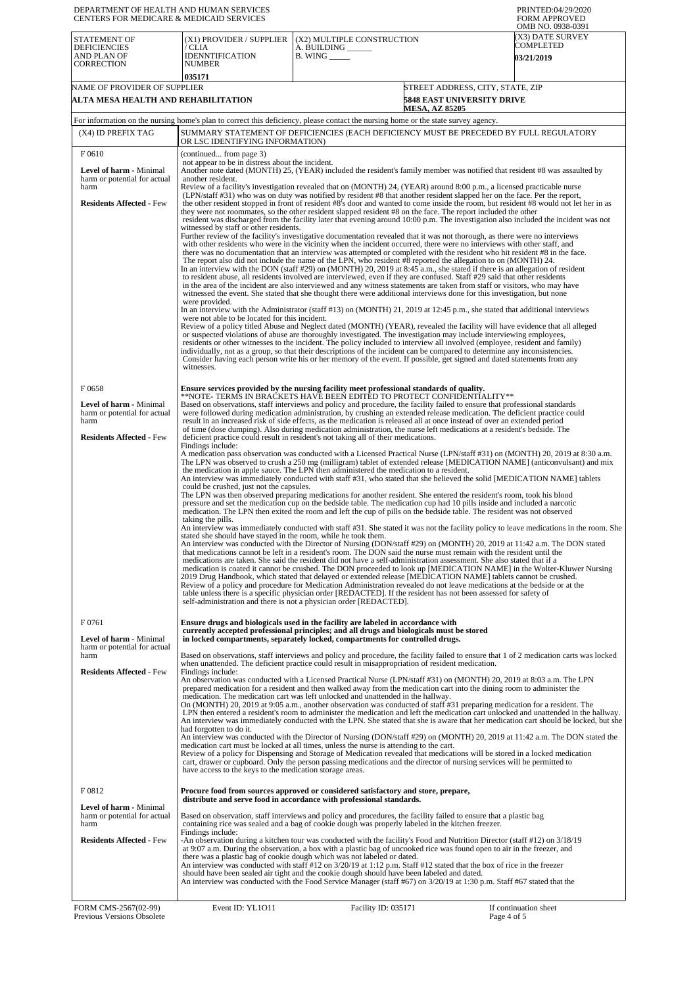| DEPARTMENT OF HEALTH AND HUMAN SERVICES<br>CENTERS FOR MEDICARE & MEDICAID SERVICES                                 |                                                                                                                                                                                                                                                                                                                                |                                                                                                                                                                                                                                                                                                                                                                                                                                                                                                                                                                                                                                                                                                                                                                                                                                                                                                                                                                                                                                                                                                                                                                                                                                                                                                                                                                                                                                                                                                                                                                                                                                                                                                                                                                                                                                                                                                                                                                                                                                                          | PRINTED:04/29/2020<br><b>FORM APPROVED</b><br>OMB NO. 0938-0391                                                                                                                                                                                                                                                                                                                                                                                                                                                                                                                                                                                          |  |
|---------------------------------------------------------------------------------------------------------------------|--------------------------------------------------------------------------------------------------------------------------------------------------------------------------------------------------------------------------------------------------------------------------------------------------------------------------------|----------------------------------------------------------------------------------------------------------------------------------------------------------------------------------------------------------------------------------------------------------------------------------------------------------------------------------------------------------------------------------------------------------------------------------------------------------------------------------------------------------------------------------------------------------------------------------------------------------------------------------------------------------------------------------------------------------------------------------------------------------------------------------------------------------------------------------------------------------------------------------------------------------------------------------------------------------------------------------------------------------------------------------------------------------------------------------------------------------------------------------------------------------------------------------------------------------------------------------------------------------------------------------------------------------------------------------------------------------------------------------------------------------------------------------------------------------------------------------------------------------------------------------------------------------------------------------------------------------------------------------------------------------------------------------------------------------------------------------------------------------------------------------------------------------------------------------------------------------------------------------------------------------------------------------------------------------------------------------------------------------------------------------------------------------|----------------------------------------------------------------------------------------------------------------------------------------------------------------------------------------------------------------------------------------------------------------------------------------------------------------------------------------------------------------------------------------------------------------------------------------------------------------------------------------------------------------------------------------------------------------------------------------------------------------------------------------------------------|--|
| <b>STATEMENT OF</b><br><b>DEFICIENCIES</b><br>AND PLAN OF<br><b>CORRECTION</b>                                      | (X1) PROVIDER / SUPPLIER<br>/ CLIA<br>IDENNTIFICATION<br><b>NUMBER</b>                                                                                                                                                                                                                                                         | (X2) MULTIPLE CONSTRUCTION<br>A. BUILDING ______<br>$B.$ WING $\_\_\_\_\_\_\$                                                                                                                                                                                                                                                                                                                                                                                                                                                                                                                                                                                                                                                                                                                                                                                                                                                                                                                                                                                                                                                                                                                                                                                                                                                                                                                                                                                                                                                                                                                                                                                                                                                                                                                                                                                                                                                                                                                                                                            | (X3) DATE SURVEY<br>COMPLETED<br><b>03/21/2019</b>                                                                                                                                                                                                                                                                                                                                                                                                                                                                                                                                                                                                       |  |
|                                                                                                                     | 035171                                                                                                                                                                                                                                                                                                                         |                                                                                                                                                                                                                                                                                                                                                                                                                                                                                                                                                                                                                                                                                                                                                                                                                                                                                                                                                                                                                                                                                                                                                                                                                                                                                                                                                                                                                                                                                                                                                                                                                                                                                                                                                                                                                                                                                                                                                                                                                                                          |                                                                                                                                                                                                                                                                                                                                                                                                                                                                                                                                                                                                                                                          |  |
| NAME OF PROVIDER OF SUPPLIER                                                                                        |                                                                                                                                                                                                                                                                                                                                |                                                                                                                                                                                                                                                                                                                                                                                                                                                                                                                                                                                                                                                                                                                                                                                                                                                                                                                                                                                                                                                                                                                                                                                                                                                                                                                                                                                                                                                                                                                                                                                                                                                                                                                                                                                                                                                                                                                                                                                                                                                          | STREET ADDRESS, CITY, STATE, ZIP                                                                                                                                                                                                                                                                                                                                                                                                                                                                                                                                                                                                                         |  |
| ALTA MESA HEALTH AND REHABILITATION                                                                                 |                                                                                                                                                                                                                                                                                                                                | <b>MESA, AZ 85205</b>                                                                                                                                                                                                                                                                                                                                                                                                                                                                                                                                                                                                                                                                                                                                                                                                                                                                                                                                                                                                                                                                                                                                                                                                                                                                                                                                                                                                                                                                                                                                                                                                                                                                                                                                                                                                                                                                                                                                                                                                                                    | <b>5848 EAST UNIVERSITY DRIVE</b>                                                                                                                                                                                                                                                                                                                                                                                                                                                                                                                                                                                                                        |  |
|                                                                                                                     |                                                                                                                                                                                                                                                                                                                                | For information on the nursing home's plan to correct this deficiency, please contact the nursing home or the state survey agency.                                                                                                                                                                                                                                                                                                                                                                                                                                                                                                                                                                                                                                                                                                                                                                                                                                                                                                                                                                                                                                                                                                                                                                                                                                                                                                                                                                                                                                                                                                                                                                                                                                                                                                                                                                                                                                                                                                                       |                                                                                                                                                                                                                                                                                                                                                                                                                                                                                                                                                                                                                                                          |  |
| (X4) ID PREFIX TAG                                                                                                  | OR LSC IDENTIFYING INFORMATION)                                                                                                                                                                                                                                                                                                | SUMMARY STATEMENT OF DEFICIENCIES (EACH DEFICIENCY MUST BE PRECEDED BY FULL REGULATORY                                                                                                                                                                                                                                                                                                                                                                                                                                                                                                                                                                                                                                                                                                                                                                                                                                                                                                                                                                                                                                                                                                                                                                                                                                                                                                                                                                                                                                                                                                                                                                                                                                                                                                                                                                                                                                                                                                                                                                   |                                                                                                                                                                                                                                                                                                                                                                                                                                                                                                                                                                                                                                                          |  |
| F0610                                                                                                               | (continued from page 3)                                                                                                                                                                                                                                                                                                        |                                                                                                                                                                                                                                                                                                                                                                                                                                                                                                                                                                                                                                                                                                                                                                                                                                                                                                                                                                                                                                                                                                                                                                                                                                                                                                                                                                                                                                                                                                                                                                                                                                                                                                                                                                                                                                                                                                                                                                                                                                                          |                                                                                                                                                                                                                                                                                                                                                                                                                                                                                                                                                                                                                                                          |  |
| Level of harm - Minimal<br>harm or potential for actual<br>harm                                                     | not appear to be in distress about the incident.<br>Another note dated (MONTH) 25, (YEAR) included the resident's family member was notified that resident #8 was assaulted by<br>another resident.<br>Review of a facility's investigation revealed that on (MONTH) 24, (YEAR) around 8:00 p.m., a licensed practicable nurse |                                                                                                                                                                                                                                                                                                                                                                                                                                                                                                                                                                                                                                                                                                                                                                                                                                                                                                                                                                                                                                                                                                                                                                                                                                                                                                                                                                                                                                                                                                                                                                                                                                                                                                                                                                                                                                                                                                                                                                                                                                                          |                                                                                                                                                                                                                                                                                                                                                                                                                                                                                                                                                                                                                                                          |  |
| <b>Residents Affected - Few</b>                                                                                     | witnessed by staff or other residents.<br>were provided.<br>were not able to be located for this incident.                                                                                                                                                                                                                     | (LPN/staff #31) who was on duty was notified by resident #8 that another resident slapped her on the face. Per the report,<br>they were not roommates, so the other resident slapped resident #8 on the face. The report included the other<br>Further review of the facility's investigative documentation revealed that it was not thorough, as there were no interviews<br>with other residents who were in the vicinity when the incident occurred, there were no interviews with other staff, and<br>there was no documentation that an interview was attempted or completed with the resident who hit resident #8 in the face.<br>The report also did not include the name of the LPN, who resident #8 reported the allegation to on (MONTH) 24.<br>In an interview with the DON (staff #29) on (MONTH) 20, 2019 at 8:45 a.m., she stated if there is an allegation of resident<br>to resident abuse, all residents involved are interviewed, even if they are confused. Staff #29 said that other residents<br>in the area of the incident are also interviewed and any witness statements are taken from staff or visitors, who may have<br>witnessed the event. She stated that she thought there were additional interviews done for this investigation, but none<br>In an interview with the Administrator (staff #13) on (MONTH) 21, 2019 at 12:45 p.m., she stated that additional interviews<br>Review of a policy titled Abuse and Neglect dated (MONTH) (YEAR), revealed the facility will have evidence that all alleged<br>or suspected violations of abuse are thoroughly investigated. The investigation may include interviewing employees,<br>residents or other witnesses to the incident. The policy included to interview all involved (employee, resident and family)<br>individually, not as a group, so that their descriptions of the incident can be compared to determine any inconsistencies.<br>Consider having each person write his or her memory of the event. If possible, get signed and dated statements from any | the other resident stopped in front of resident #8's door and wanted to come inside the room, but resident #8 would not let her in as<br>resident was discharged from the facility later that evening around 10:00 p.m. The investigation also included the incident was not                                                                                                                                                                                                                                                                                                                                                                             |  |
| F0658<br><b>Level of harm - Minimal</b><br>harm or potential for actual<br>harm<br><b>Residents Affected - Few</b>  | witnesses.<br>Findings include:<br>could be crushed, just not the capsules.<br>taking the pills.<br>stated she should have stayed in the room, while he took them.                                                                                                                                                             | Ensure services provided by the nursing facility meet professional standards of quality.<br>**NOTE- TERMS IN BRACKETS HAVE BEEN EDITED TO PROTECT CONFIDENTIALITY**<br>Based on observations, staff interviews and policy and procedure, the facility failed to ensure that professional standards<br>were followed during medication administration, by crushing an extended release medication. The deficient practice could<br>result in an increased risk of side effects, as the medication is released all at once instead of over an extended period<br>of time (dose dumping). Also during medication administration, the nurse left medications at a resident's bedside. The<br>deficient practice could result in resident's not taking all of their medications.<br>the medication in apple sauce. The LPN then administered the medication to a resident.<br>An interview was immediately conducted with staff #31, who stated that she believed the solid [MEDICATION NAME] tablets<br>The LPN was then observed preparing medications for another resident. She entered the resident's room, took his blood<br>pressure and set the medication cup on the bedside table. The medication cup had 10 pills inside and included a narcotic<br>medication. The LPN then exited the room and left the cup of pills on the bedside table. The resident was not observed<br>that medications cannot be left in a resident's room. The DON said the nurse must remain with the resident until the<br>medications are taken. She said the resident did not have a self-administration assessment. She also stated that if a<br>2019 Drug Handbook, which stated that delayed or extended release [MEDICATION NAME] tablets cannot be crushed.                                                                                                                                                                                                                                                                                                       | A medication pass observation was conducted with a Licensed Practical Nurse (LPN/staff #31) on (MONTH) 20, 2019 at 8:30 a.m.<br>The LPN was observed to crush a 250 mg (milligram) tablet of extended release [MEDICATION NAME] (anticonvulsant) and mix<br>An interview was immediately conducted with staff #31. She stated it was not the facility policy to leave medications in the room. She<br>An interview was conducted with the Director of Nursing (DON/staff #29) on (MONTH) 20, 2019 at 11:42 a.m. The DON stated<br>medication is coated it cannot be crushed. The DON proceeded to look up [MEDICATION NAME] in the Wolter-Kluwer Nursing |  |
| F 0761<br><b>Level of harm - Minimal</b><br>harm or potential for actual<br>harm<br><b>Residents Affected - Few</b> | Findings include:<br>had forgotten to do it.<br>have access to the keys to the medication storage areas.                                                                                                                                                                                                                       | Review of a policy and procedure for Medication Administration revealed do not leave medications at the bedside or at the<br>table unless there is a specific physician order [REDACTED]. If the resident has not been assessed for safety of<br>self-administration and there is not a physician order [REDACTED].<br>Ensure drugs and biologicals used in the facility are labeled in accordance with<br>currently accepted professional principles; and all drugs and biologicals must be stored<br>in locked compartments, separately locked, compartments for controlled drugs.<br>when unattended. The deficient practice could result in misappropriation of resident medication.<br>An observation was conducted with a Licensed Practical Nurse (LPN/staff #31) on (MONTH) 20, 2019 at 8:03 a.m. The LPN<br>prepared medication for a resident and then walked away from the medication cart into the dining room to administer the<br>medication. The medication cart was left unlocked and unattended in the hallway.<br>On (MONTH) 20, 2019 at 9:05 a.m., another observation was conducted of staff #31 preparing medication for a resident. The<br>medication cart must be locked at all times, unless the nurse is attending to the cart.<br>Review of a policy for Dispensing and Storage of Medication revealed that medications will be stored in a locked medication<br>cart, drawer or cupboard. Only the person passing medications and the director of nursing services will be permitted to                                                                                                                                                                                                                                                                                                                                                                                                                                                                                                                                       | Based on observations, staff interviews and policy and procedure, the facility failed to ensure that 1 of 2 medication carts was locked<br>LPN then entered a resident's room to administer the medication and left the medication cart unlocked and unattended in the hallway.<br>An interview was immediately conducted with the LPN. She stated that she is aware that her medication cart should be locked, but she<br>An interview was conducted with the Director of Nursing (DON/staff #29) on (MONTH) 20, 2019 at 11:42 a.m. The DON stated the                                                                                                  |  |
| F0812<br><b>Level of harm - Minimal</b><br>harm or potential for actual<br>harm<br><b>Residents Affected - Few</b>  | Findings include:                                                                                                                                                                                                                                                                                                              | Procure food from sources approved or considered satisfactory and store, prepare,<br>distribute and serve food in accordance with professional standards.<br>Based on observation, staff interviews and policy and procedures, the facility failed to ensure that a plastic bag<br>containing rice was sealed and a bag of cookie dough was properly labeled in the kitchen freezer.<br>-An observation during a kitchen tour was conducted with the facility's Food and Nutrition Director (staff #12) on 3/18/19<br>at 9:07 a.m. During the observation, a box with a plastic bag of uncooked rice was found open to air in the freezer, and<br>there was a plastic bag of cookie dough which was not labeled or dated.<br>An interview was conducted with staff #12 on 3/20/19 at 1:12 p.m. Staff #12 stated that the box of rice in the freezer<br>should have been sealed air tight and the cookie dough should have been labeled and dated.<br>An interview was conducted with the Food Service Manager (staff #67) on 3/20/19 at 1:30 p.m. Staff #67 stated that the                                                                                                                                                                                                                                                                                                                                                                                                                                                                                                                                                                                                                                                                                                                                                                                                                                                                                                                                                                              |                                                                                                                                                                                                                                                                                                                                                                                                                                                                                                                                                                                                                                                          |  |
| FORM CMS-2567(02-99)<br>Previous Versions Obsolete                                                                  | Event ID: YL1011                                                                                                                                                                                                                                                                                                               | Facility ID: 035171                                                                                                                                                                                                                                                                                                                                                                                                                                                                                                                                                                                                                                                                                                                                                                                                                                                                                                                                                                                                                                                                                                                                                                                                                                                                                                                                                                                                                                                                                                                                                                                                                                                                                                                                                                                                                                                                                                                                                                                                                                      | If continuation sheet<br>Page 4 of 5                                                                                                                                                                                                                                                                                                                                                                                                                                                                                                                                                                                                                     |  |